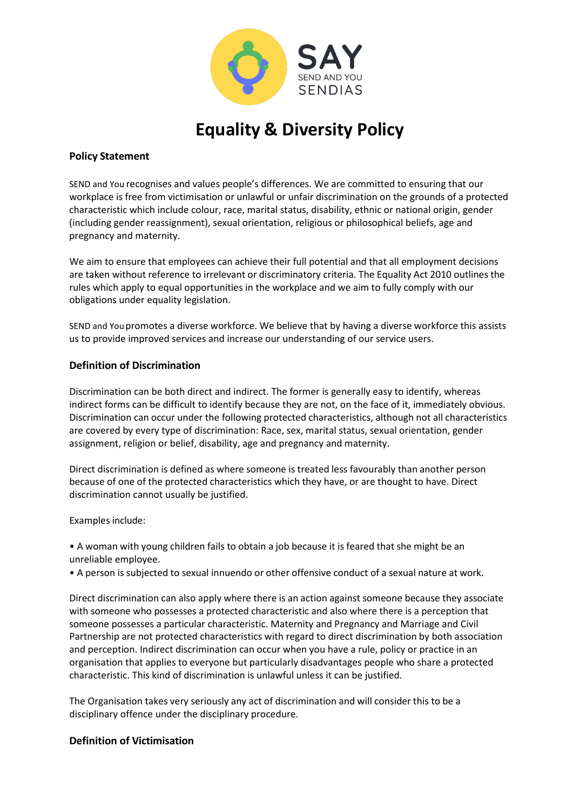

**Equality & Diversity Policy**

## **Policy Statement**

SEND and You recognises and values people's differences. We are committed to ensuring that our workplace is free from victimisation or unlawful or unfair discrimination on the grounds of a protected characteristic which include colour, race, marital status, disability, ethnic or national origin, gender (including gender reassignment), sexual orientation, religious or philosophical beliefs, age and pregnancy and maternity.

We aim to ensure that employees can achieve their full potential and that all employment decisions are taken without reference to irrelevant or discriminatory criteria. The Equality Act 2010 outlines the rules which apply to equal opportunities in the workplace and we aim to fully comply with our obligations under equality legislation.

SEND and Youpromotes a diverse workforce. We believe that by having a diverse workforce this assists us to provide improved services and increase our understanding of our service users.

## **Definition of Discrimination**

Discrimination can be both direct and indirect. The former is generally easy to identify, whereas indirect forms can be difficult to identify because they are not, on the face of it, immediately obvious. Discrimination can occur under the following protected characteristics, although not all characteristics are covered by every type of discrimination: Race, sex, marital status, sexual orientation, gender assignment, religion or belief, disability, age and pregnancy and maternity.

Direct discrimination is defined as where someone is treated less favourably than another person because of one of the protected characteristics which they have, or are thought to have. Direct discrimination cannot usually be justified.

Examples include:

• A woman with young children fails to obtain a job because it is feared that she might be an unreliable employee.

• A person is subjected to sexual innuendo or other offensive conduct of a sexual nature at work.

Direct discrimination can also apply where there is an action against someone because they associate with someone who possesses a protected characteristic and also where there is a perception that someone possesses a particular characteristic. Maternity and Pregnancy and Marriage and Civil Partnership are not protected characteristics with regard to direct discrimination by both association and perception. Indirect discrimination can occur when you have a rule, policy or practice in an organisation that applies to everyone but particularly disadvantages people who share a protected characteristic. This kind of discrimination is unlawful unless it can be justified.

The Organisation takes very seriously any act of discrimination and will consider this to be a disciplinary offence under the disciplinary procedure.

# **Definition of Victimisation**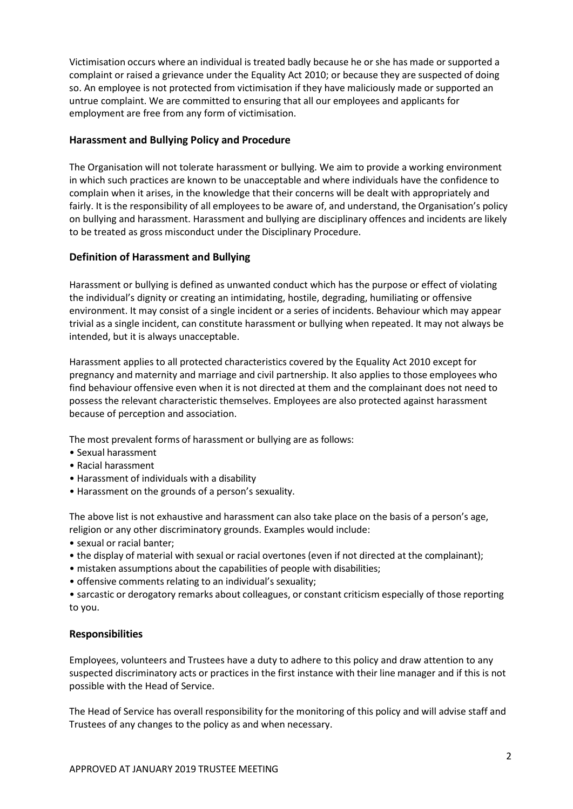Victimisation occurs where an individual is treated badly because he or she has made or supported a complaint or raised a grievance under the Equality Act 2010; or because they are suspected of doing so. An employee is not protected from victimisation if they have maliciously made or supported an untrue complaint. We are committed to ensuring that all our employees and applicants for employment are free from any form of victimisation.

## **Harassment and Bullying Policy and Procedure**

The Organisation will not tolerate harassment or bullying. We aim to provide a working environment in which such practices are known to be unacceptable and where individuals have the confidence to complain when it arises, in the knowledge that their concerns will be dealt with appropriately and fairly. It is the responsibility of all employees to be aware of, and understand, the Organisation's policy on bullying and harassment. Harassment and bullying are disciplinary offences and incidents are likely to be treated as gross misconduct under the Disciplinary Procedure.

## **Definition of Harassment and Bullying**

Harassment or bullying is defined as unwanted conduct which has the purpose or effect of violating the individual's dignity or creating an intimidating, hostile, degrading, humiliating or offensive environment. It may consist of a single incident or a series of incidents. Behaviour which may appear trivial as a single incident, can constitute harassment or bullying when repeated. It may not always be intended, but it is always unacceptable.

Harassment applies to all protected characteristics covered by the Equality Act 2010 except for pregnancy and maternity and marriage and civil partnership. It also applies to those employees who find behaviour offensive even when it is not directed at them and the complainant does not need to possess the relevant characteristic themselves. Employees are also protected against harassment because of perception and association.

The most prevalent forms of harassment or bullying are as follows:

- Sexual harassment
- Racial harassment
- Harassment of individuals with a disability
- Harassment on the grounds of a person's sexuality.

The above list is not exhaustive and harassment can also take place on the basis of a person's age, religion or any other discriminatory grounds. Examples would include:

- sexual or racial banter;
- the display of material with sexual or racial overtones (even if not directed at the complainant);
- mistaken assumptions about the capabilities of people with disabilities;
- offensive comments relating to an individual's sexuality;

• sarcastic or derogatory remarks about colleagues, or constant criticism especially of those reporting to you.

#### **Responsibilities**

Employees, volunteers and Trustees have a duty to adhere to this policy and draw attention to any suspected discriminatory acts or practices in the first instance with their line manager and if this is not possible with the Head of Service.

The Head of Service has overall responsibility for the monitoring of this policy and will advise staff and Trustees of any changes to the policy as and when necessary.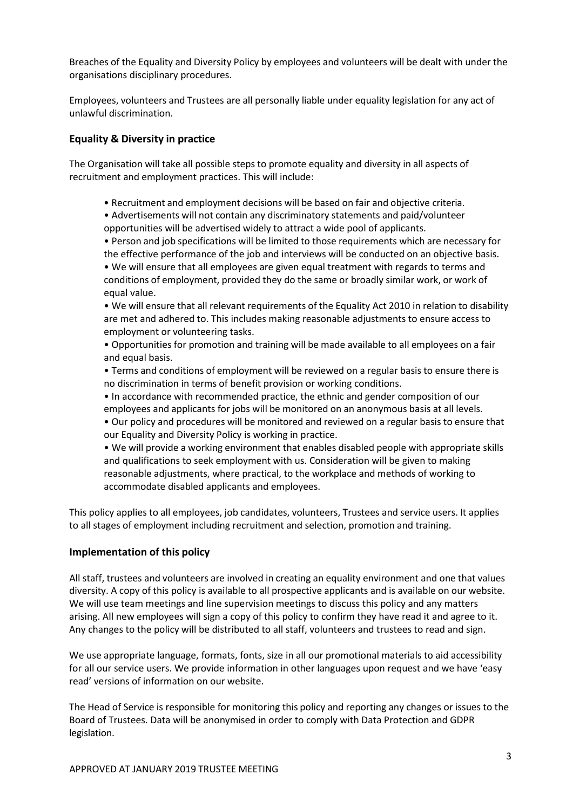Breaches of the Equality and Diversity Policy by employees and volunteers will be dealt with under the organisations disciplinary procedures.

Employees, volunteers and Trustees are all personally liable under equality legislation for any act of unlawful discrimination.

## **Equality & Diversity in practice**

The Organisation will take all possible steps to promote equality and diversity in all aspects of recruitment and employment practices. This will include:

• Recruitment and employment decisions will be based on fair and objective criteria.

• Advertisements will not contain any discriminatory statements and paid/volunteer opportunities will be advertised widely to attract a wide pool of applicants.

• Person and job specifications will be limited to those requirements which are necessary for the effective performance of the job and interviews will be conducted on an objective basis.

• We will ensure that all employees are given equal treatment with regards to terms and conditions of employment, provided they do the same or broadly similar work, or work of equal value.

• We will ensure that all relevant requirements of the Equality Act 2010 in relation to disability are met and adhered to. This includes making reasonable adjustments to ensure access to employment or volunteering tasks.

• Opportunities for promotion and training will be made available to all employees on a fair and equal basis.

• Terms and conditions of employment will be reviewed on a regular basis to ensure there is no discrimination in terms of benefit provision or working conditions.

• In accordance with recommended practice, the ethnic and gender composition of our employees and applicants for jobs will be monitored on an anonymous basis at all levels. • Our policy and procedures will be monitored and reviewed on a regular basis to ensure that our Equality and Diversity Policy is working in practice.

• We will provide a working environment that enables disabled people with appropriate skills and qualifications to seek employment with us. Consideration will be given to making reasonable adjustments, where practical, to the workplace and methods of working to accommodate disabled applicants and employees.

This policy applies to all employees, job candidates, volunteers, Trustees and service users. It applies to all stages of employment including recruitment and selection, promotion and training.

#### **Implementation of this policy**

All staff, trustees and volunteers are involved in creating an equality environment and one that values diversity. A copy of this policy is available to all prospective applicants and is available on our website. We will use team meetings and line supervision meetings to discuss this policy and any matters arising. All new employees will sign a copy of this policy to confirm they have read it and agree to it. Any changes to the policy will be distributed to all staff, volunteers and trustees to read and sign.

We use appropriate language, formats, fonts, size in all our promotional materials to aid accessibility for all our service users. We provide information in other languages upon request and we have 'easy read' versions of information on our website.

The Head of Service is responsible for monitoring this policy and reporting any changes or issues to the Board of Trustees. Data will be anonymised in order to comply with Data Protection and GDPR legislation.